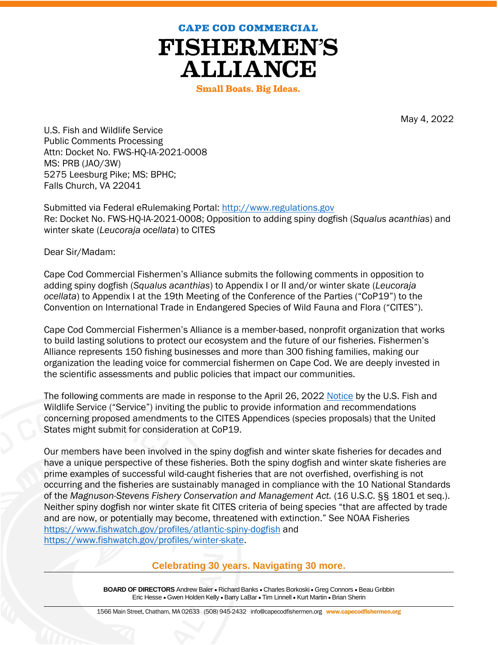**CAPE COD COMMERCIAL** 



**Small Boats. Big Ideas.** 

May 4, 2022

U.S. Fish and Wildlife Service Public Comments Processing Attn: Docket No. FWS-HQ-IA-2021-0008 MS: PRB (JAO/3W) 5275 Leesburg Pike; MS: BPHC; Falls Church, VA 22041

Submitted via Federal eRulemaking Portal: [http://www.regulations.gov](http://www.regulations.gov/) Re: Docket No. FWS-HQ-IA-2021-0008; Opposition to adding spiny dogfish (*Squalus acanthias*) and winter skate (*Leucoraja ocellata*) to CITES

Dear Sir/Madam:

Cape Cod Commercial Fishermen's Alliance submits the following comments in opposition to adding spiny dogfish (*Squalus acanthias*) to Appendix I or II and/or winter skate (*Leucoraja ocellata*) to Appendix I at the 19th Meeting of the Conference of the Parties ("CoP19") to the Convention on International Trade in Endangered Species of Wild Fauna and Flora ("CITES").

Cape Cod Commercial Fishermen's Alliance is a member-based, nonprofit organization that works to build lasting solutions to protect our ecosystem and the future of our fisheries. Fishermen's Alliance represents 150 fishing businesses and more than 300 fishing families, making our organization the leading voice for commercial fishermen on Cape Cod. We are deeply invested in the scientific assessments and public policies that impact our communities.

The following comments are made in response to the April 26, 2022 [Notice](https://www.federalregister.gov/documents/2022/04/26/2022-08871/conference-of-the-parties-to-the-convention-on-international-trade-in-endangered-species-of-wild?utm_campaign=subscription+mailing+list&utm_medium=email&utm_source=govdelivery) by the U.S. Fish and Wildlife Service ("Service") inviting the public to provide information and recommendations concerning proposed amendments to the CITES Appendices (species proposals) that the United States might submit for consideration at CoP19.

Our members have been involved in the spiny dogfish and winter skate fisheries for decades and have a unique perspective of these fisheries. Both the spiny dogfish and winter skate fisheries are prime examples of successful wild-caught fisheries that are not overfished, overfishing is not occurring and the fisheries are sustainably managed in compliance with the 10 National Standards of the *Magnuson-Stevens Fishery Conservation and Management Act.* (16 U.S.C. §§ 1801 et seq.). Neither spiny dogfish nor winter skate fit CITES criteria of being species "that are affected by trade and are now, or potentially may become, threatened with extinction." See NOAA Fisheries <https://www.fishwatch.gov/profiles/atlantic-spiny-dogfish> and [https://www.fishwatch.gov/profiles/winter-skate.](https://www.fishwatch.gov/profiles/winter-skate)

## **Celebrating 30 years. Navigating 30 more.**

BOARD OF DIRECTORS Andrew Baler . Richard Banks . Charles Borkoski . Greg Connors . Beau Gribbin Eric Hesse • Gwen Holden Kelly • Barry LaBar • Tim Linnell • Kurt Martin • Brian Sherin